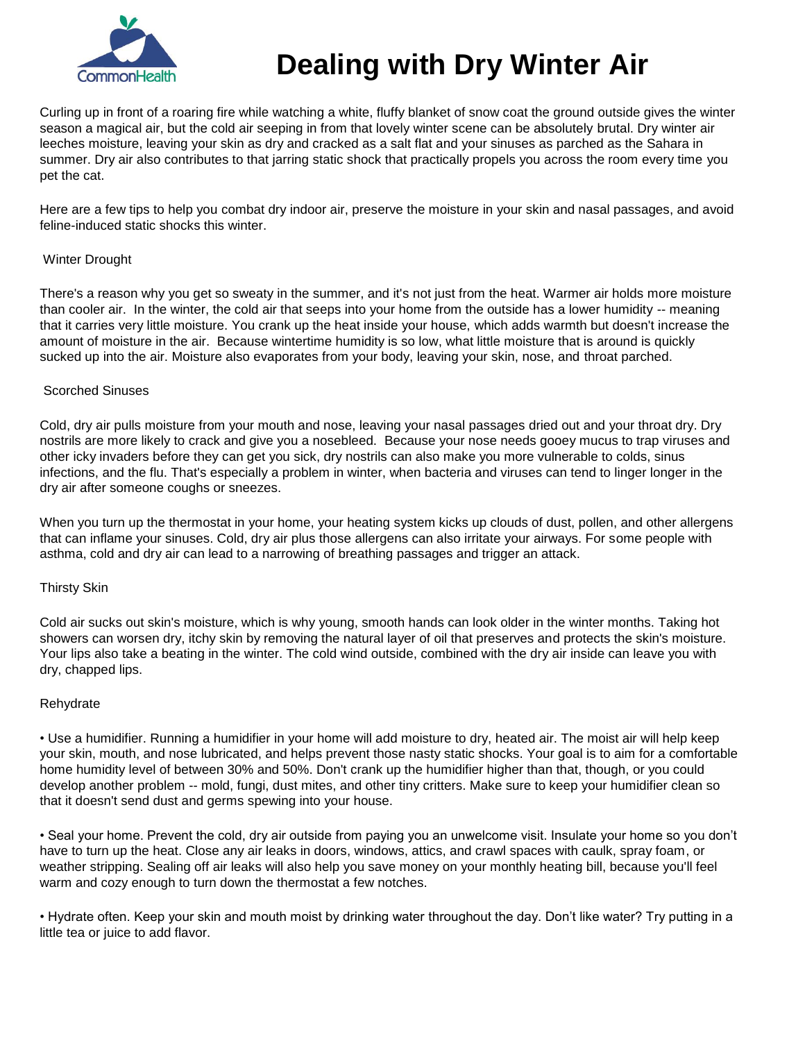

# **Dealing with Dry Winter Air**

Curling up in front of a roaring fire while watching a white, fluffy blanket of snow coat the ground outside gives the winter season a magical air, but the cold air seeping in from that lovely winter scene can be absolutely brutal. Dry winter air leeches moisture, leaving your skin as dry and cracked as a salt flat and your sinuses as parched as the Sahara in summer. Dry air also contributes to that jarring static shock that practically propels you across the room every time you pet the cat.

Here are a few tips to help you combat dry indoor air, preserve the moisture in your skin and nasal passages, and avoid feline-induced static shocks this winter.

### Winter Drought

There's a reason why you get so sweaty in the summer, and it's not just from the heat. Warmer air holds more moisture than cooler air. In the winter, the cold air that seeps into your home from the outside has a lower humidity -- meaning that it carries very little moisture. You crank up the heat inside your house, which adds warmth but doesn't increase the amount of moisture in the air. Because wintertime humidity is so low, what little moisture that is around is quickly sucked up into the air. Moisture also evaporates from your body, leaving your skin, nose, and throat parched.

### Scorched Sinuses

Cold, dry air pulls moisture from your mouth and nose, leaving your nasal passages dried out and your throat dry. Dry nostrils are more likely to crack and give you a nosebleed. Because your nose needs gooey mucus to trap viruses and other icky invaders before they can get you sick, dry nostrils can also make you more vulnerable to colds, sinus infections, and the flu. That's especially a problem in winter, when bacteria and viruses can tend to linger longer in the dry air after someone coughs or sneezes.

When you turn up the thermostat in your home, your heating system kicks up clouds of dust, pollen, and other allergens that can inflame your sinuses. Cold, dry air plus those allergens can also irritate your airways. For some people with asthma, cold and dry air can lead to a narrowing of breathing passages and trigger an attack.

#### Thirsty Skin

Cold air sucks out skin's moisture, which is why young, smooth hands can look older in the winter months. Taking hot showers can worsen dry, itchy skin by removing the natural layer of oil that preserves and protects the skin's moisture. Your lips also take a beating in the winter. The cold wind outside, combined with the dry air inside can leave you with dry, chapped lips.

## Rehydrate

• Use a humidifier. Running a humidifier in your home will add moisture to dry, heated air. The moist air will help keep your skin, mouth, and nose lubricated, and helps prevent those nasty static shocks. Your goal is to aim for a comfortable home humidity level of between 30% and 50%. Don't crank up the humidifier higher than that, though, or you could develop another problem -- mold, fungi, dust mites, and other tiny critters. Make sure to keep your humidifier clean so that it doesn't send dust and germs spewing into your house.

• Seal your home. Prevent the cold, dry air outside from paying you an unwelcome visit. Insulate your home so you don't have to turn up the heat. Close any air leaks in doors, windows, attics, and crawl spaces with caulk, spray foam, or weather stripping. Sealing off air leaks will also help you save money on your monthly heating bill, because you'll feel warm and cozy enough to turn down the thermostat a few notches.

• Hydrate often. Keep your skin and mouth moist by drinking water throughout the day. Don't like water? Try putting in a little tea or juice to add flavor.